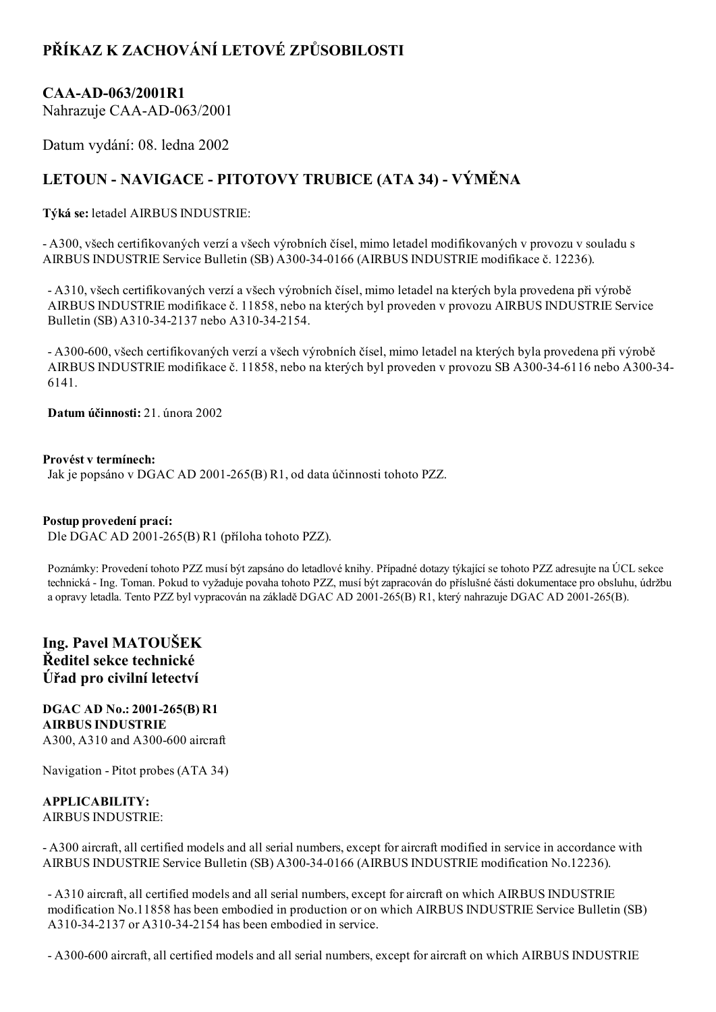## PŘÍKAZ K ZACHOVÁNÍ LETOVÉ ZPŮSOBILOSTI

## CAA-AD-063/2001R1

Nahrazuje CAA-AD-063/2001

Datum vydání: 08. ledna 2002

# LETOUN - NAVIGACE - PITOTOVY TRUBICE (ATA 34) - VÝMĚNA

Týká se: letadel AIRBUS INDUSTRIE:

 A300, všech certifikovaných verzí a všech výrobních čísel, mimo letadel modifikovaných v provozu v souladu s AIRBUS INDUSTRIE Service Bulletin (SB) A300-34-0166 (AIRBUS INDUSTRIE modifikace č. 12236).

 A310, všech certifikovaných verzí a všech výrobních čísel, mimo letadel na kterých byla provedena při výrobě AIRBUS INDUSTRIE modifikace č. 11858, nebo na kterých byl proveden v provozu AIRBUS INDUSTRIE Service Bulletin (SB) A310-34-2137 nebo A310-34-2154.

 A300600, všech certifikovaných verzí a všech výrobních čísel, mimo letadel na kterých byla provedena při výrobě AIRBUS INDUSTRIE modifikace č. 11858, nebo na kterých byl proveden v provozu SB A300-34-6116 nebo A300-34-6141.

Datum účinnosti: 21. února 2002

#### Provést v termínech:

Jak je popsáno v DGAC AD 2001-265(B) R1, od data účinnosti tohoto PZZ.

#### Postup provedení prací:

Dle DGAC AD 2001-265(B) R1 (příloha tohoto PZZ).

Poznámky: Provedení tohoto PZZ musí být zapsáno do letadlové knihy. Případné dotazy týkající se tohoto PZZ adresujte na ÚCL sekce technická Ing. Toman. Pokud to vyžaduje povaha tohoto PZZ, musí být zapracován do příslušné části dokumentace pro obsluhu, údržbu a opravy letadla. Tento PZZ byl vypracován na základě DGAC AD 2001-265(B) R1, který nahrazuje DGAC AD 2001-265(B).

### Ing. Pavel MATOUŠEK Ředitel sekce technické Úřad pro civilní letectví

DGAC AD No.: 2001-265(B) R1 AIRBUS INDUSTRIE A300, A310 and A300-600 aircraft

Navigation - Pitot probes (ATA 34)

#### APPLICABILITY: AIRBUS INDUSTRIE:

 A300 aircraft, all certified models and all serial numbers, except for aircraft modified in service in accordance with AIRBUS INDUSTRIE Service Bulletin (SB) A300340166 (AIRBUS INDUSTRIE modification No.12236).

 A310 aircraft, all certified models and all serial numbers, except for aircraft on which AIRBUS INDUSTRIE modification No.11858 has been embodied in production or on which AIRBUS INDUSTRIE Service Bulletin (SB) A310-34-2137 or A310-34-2154 has been embodied in service.

A300600 aircraft, all certified models and all serial numbers, except for aircraft on which AIRBUS INDUSTRIE